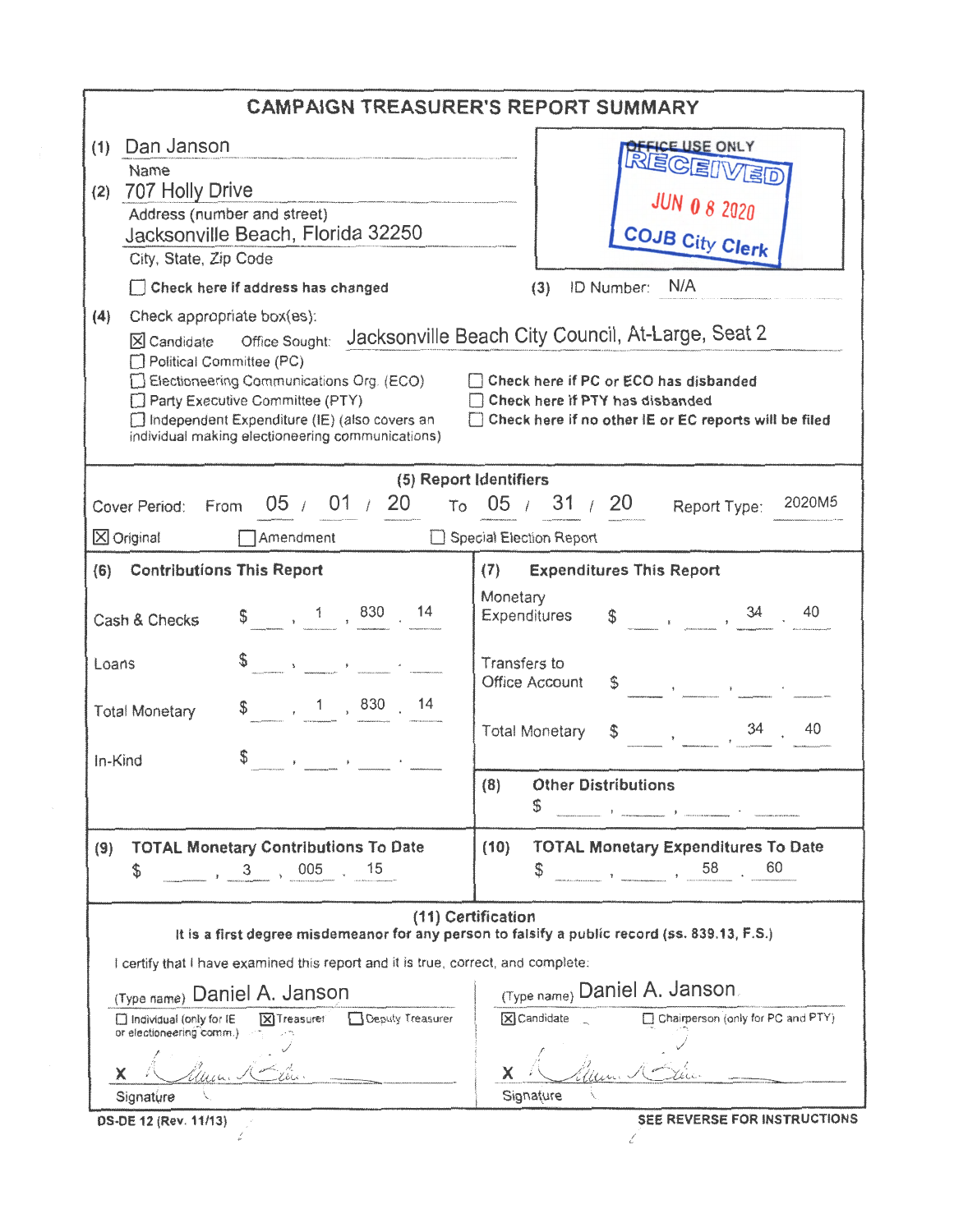|                                                                                          | <b>CAMPAIGN TREASURER'S REPORT SUMMARY</b>                                                                                                                                                                                                                                          |  |  |  |
|------------------------------------------------------------------------------------------|-------------------------------------------------------------------------------------------------------------------------------------------------------------------------------------------------------------------------------------------------------------------------------------|--|--|--|
| (1) Dan Janson                                                                           | <b>PERSORIVED</b>                                                                                                                                                                                                                                                                   |  |  |  |
| Name                                                                                     |                                                                                                                                                                                                                                                                                     |  |  |  |
| 707 Holly Drive<br>(2)                                                                   | <b>JUN 0 8 2020</b>                                                                                                                                                                                                                                                                 |  |  |  |
| Address (number and street)<br>Jacksonville Beach, Florida 32250                         |                                                                                                                                                                                                                                                                                     |  |  |  |
| City, State, Zip Code                                                                    | <b>COJB City Clerk</b>                                                                                                                                                                                                                                                              |  |  |  |
| Check here if address has changed                                                        | N/A<br>(3) ID Number:                                                                                                                                                                                                                                                               |  |  |  |
| Check appropriate box(es):<br>(4)                                                        |                                                                                                                                                                                                                                                                                     |  |  |  |
| Office Sought:<br>$X$ Candidate                                                          | Jacksonville Beach City Council, At-Large, Seat 2                                                                                                                                                                                                                                   |  |  |  |
| Political Committee (PC)                                                                 |                                                                                                                                                                                                                                                                                     |  |  |  |
| $\Box$ Electioneering Communications Org. (ECO)                                          | Check here if PC or ECO has disbanded                                                                                                                                                                                                                                               |  |  |  |
| Party Executive Committee (PTY)<br>□ Independent Expenditure (IE) (also covers an        | Check here if PTY has disbanded<br>□ Check here if no other IE or EC reports will be filed                                                                                                                                                                                          |  |  |  |
| individual making electioneering communications).                                        |                                                                                                                                                                                                                                                                                     |  |  |  |
|                                                                                          |                                                                                                                                                                                                                                                                                     |  |  |  |
| 05 / 01 / 20                                                                             | (5) Report Identifiers<br>2020M5<br>$\tau$ <sub>0</sub> 05 / 31 / 20                                                                                                                                                                                                                |  |  |  |
| Cover Period: From                                                                       | Report Type:                                                                                                                                                                                                                                                                        |  |  |  |
| Amendment<br>$\times$ Original                                                           | Special Election Report                                                                                                                                                                                                                                                             |  |  |  |
| (6) Contributions This Report                                                            | <b>Expenditures This Report</b><br>(7)                                                                                                                                                                                                                                              |  |  |  |
|                                                                                          | Monetary                                                                                                                                                                                                                                                                            |  |  |  |
| $\frac{1}{2}$ , 1, 830 14<br>Cash & Checks                                               | 40<br>$\begin{array}{c} \text{\$} \\ \text{\$} \end{array} \qquad , \qquad \qquad , \qquad \frac{34}{\ } \qquad .$<br>Expenditures                                                                                                                                                  |  |  |  |
|                                                                                          | Transfers to                                                                                                                                                                                                                                                                        |  |  |  |
| $\mathbf{y} = \mathbf{y}$<br>Loans                                                       | Office Account<br>$\frac{1}{2}$ . The contract of $\frac{1}{2}$ is a contract of $\frac{1}{2}$ . The contract of $\frac{1}{2}$ is a contract of $\frac{1}{2}$ is a contract of $\frac{1}{2}$ is a contract of $\frac{1}{2}$ is a contract of $\frac{1}{2}$ is a contract of $\frac$ |  |  |  |
| $\begin{array}{cccc} 1 & 830 & 14 \end{array}$<br>\$<br><b>Total Monetary</b>            |                                                                                                                                                                                                                                                                                     |  |  |  |
|                                                                                          | 34<br>40<br><b>Total Monetary</b><br>$\mathbb{S}$                                                                                                                                                                                                                                   |  |  |  |
| \$<br>In-Kind                                                                            |                                                                                                                                                                                                                                                                                     |  |  |  |
|                                                                                          | (8)<br><b>Other Distributions</b>                                                                                                                                                                                                                                                   |  |  |  |
|                                                                                          | 5                                                                                                                                                                                                                                                                                   |  |  |  |
|                                                                                          |                                                                                                                                                                                                                                                                                     |  |  |  |
| <b>TOTAL Monetary Contributions To Date</b><br>(9)<br>15                                 | <b>TOTAL Monetary Expenditures To Date</b><br>(10)<br>60                                                                                                                                                                                                                            |  |  |  |
| 005<br>\$<br>3                                                                           | 58<br>S                                                                                                                                                                                                                                                                             |  |  |  |
|                                                                                          | (11) Certification                                                                                                                                                                                                                                                                  |  |  |  |
|                                                                                          | It is a first degree misdemeanor for any person to falsify a public record (ss. 839.13, F.S.)                                                                                                                                                                                       |  |  |  |
| I certify that I have examined this report and it is true, correct, and complete:        |                                                                                                                                                                                                                                                                                     |  |  |  |
| (Type name) Daniel A. Janson                                                             | (Type name) Daniel A. Janson                                                                                                                                                                                                                                                        |  |  |  |
| Deputy Treasurer<br>□ Individual (only for IE<br>X Treasurer<br>or electioneering comm.) | X Candidate<br>□ Chairperson (only for PC and PTY)                                                                                                                                                                                                                                  |  |  |  |
|                                                                                          |                                                                                                                                                                                                                                                                                     |  |  |  |
| x                                                                                        | x                                                                                                                                                                                                                                                                                   |  |  |  |
| Signature                                                                                | Signature                                                                                                                                                                                                                                                                           |  |  |  |
| DS-DE 12 (Rev. 11/13)                                                                    | SEE REVERSE FOR INSTRUCTIONS                                                                                                                                                                                                                                                        |  |  |  |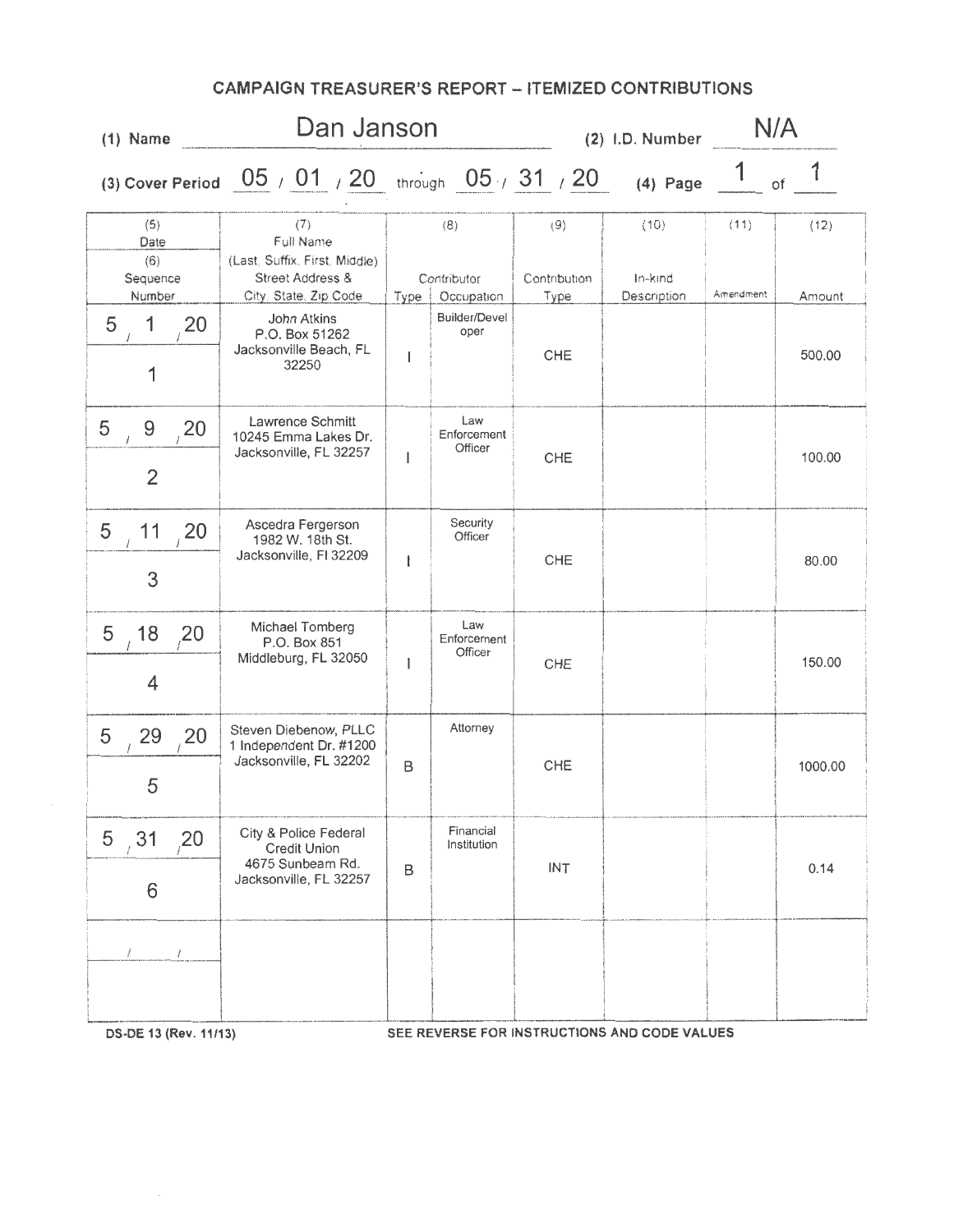| $(1)$ Name                                      | Dan Janson                                                                                      |                          |                                  |                             | (2) I.D. Number                |                   | N/A            |  |
|-------------------------------------------------|-------------------------------------------------------------------------------------------------|--------------------------|----------------------------------|-----------------------------|--------------------------------|-------------------|----------------|--|
|                                                 | (3) Cover Period $\left[05 \neq 01\right]$ / $20$ through $\left[05 \neq 31\right]$ / $20$      |                          |                                  |                             | $(4)$ Page                     |                   | of             |  |
| (5)<br>Date<br>(6)<br>Sequence<br>Number        | (7)<br>Full Name<br>(Last, Suffix, First, Middle).<br>Street Address &<br>City, State, Zip Code | Type                     | (8)<br>Contributor<br>Occupation | (9)<br>Contribution<br>Type | (10)<br>In-kind<br>Description | (11)<br>Amendment | (12)<br>Amount |  |
| 1<br>5<br>20<br>1                               | <b>John Atkins</b><br>P.O. Box 51262<br>Jacksonville Beach, FL<br>32250                         | ł                        | <b>Builder/Devel</b><br>oper     | <b>CHE</b>                  |                                |                   | 500.00         |  |
| 5<br>9<br>20<br>$\frac{1}{2}$<br>$\overline{2}$ | Lawrence Schmitt<br>10245 Emma Lakes Dr.<br>Jacksonville, FL 32257                              | $\overline{\phantom{a}}$ | Law<br>Enforcement<br>Officer    | <b>CHE</b>                  |                                |                   | 100.00         |  |
| 5<br>11<br>20<br>3                              | Ascedra Fergerson<br>1982 W. 18th St.<br>Jacksonville, FI 32209                                 | ŧ                        | Security<br>Officer              | <b>CHE</b>                  |                                |                   | 80.00          |  |
| 5<br>18<br>20<br>4                              | Michael Tomberg<br>P.O. Box 851<br>Middleburg, FL 32050                                         | 1                        | Law<br>Enforcement<br>Officer    | CHE                         |                                |                   | 150.00         |  |
| 5<br>29<br>20<br>5                              | Steven Diebenow, PLLC<br>1 Independent Dr. #1200<br>Jacksonville, FL 32202                      | B                        | Attorney                         | CHE                         |                                |                   | 1000.00        |  |
| 5, 31<br>20 <sub>2</sub><br>6                   | City & Police Federal<br><b>Credit Union</b><br>4675 Sunbeam Rd.<br>Jacksonville, FL 32257      | B                        | Financial<br>Institution         | <b>INT</b>                  |                                |                   | 0.14           |  |
| Í.                                              |                                                                                                 |                          |                                  |                             | BIOTOUCTIONS AND CODE VALUED   |                   |                |  |

## CAMPAIGN TREASURER'S REPORT - ITEMIZED CONTRIBUTIONS

OS·DE 13 {Rev. 11/13) SEE REVERSE FOR INSTRUCTIONS AND CODE VALUES